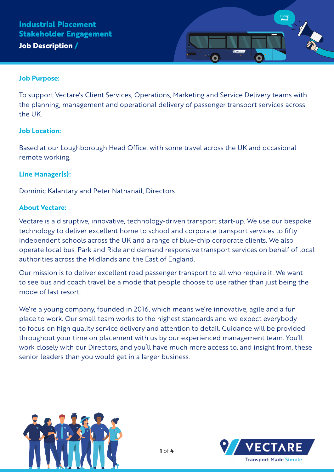

### **Job Purpose:**

To support Vectare's Client Services, Operations, Marketing and Service Delivery teams with the planning, management and operational delivery of passenger transport services across the UK.

### **Job Location:**

Based at our Loughborough Head Office, with some travel across the UK and occasional remote working.

# **Line Manager(s):**

Dominic Kalantary and Peter Nathanail, Directors

#### **About Vectare:**

Vectare is a disruptive, innovative, technology-driven transport start-up. We use our bespoke technology to deliver excellent home to school and corporate transport services to fifty independent schools across the UK and a range of blue-chip corporate clients. We also operate local bus, Park and Ride and demand responsive transport services on behalf of local authorities across the Midlands and the East of England.

Our mission is to deliver excellent road passenger transport to all who require it. We want to see bus and coach travel be a mode that people choose to use rather than just being the mode of last resort.

We're a young company, founded in 2016, which means we're innovative, agile and a fun place to work. Our small team works to the highest standards and we expect everybody to focus on high quality service delivery and attention to detail. Guidance will be provided throughout your time on placement with us by our experienced management team. You'll work closely with our Directors, and you'll have much more access to, and insight from, these senior leaders than you would get in a larger business.



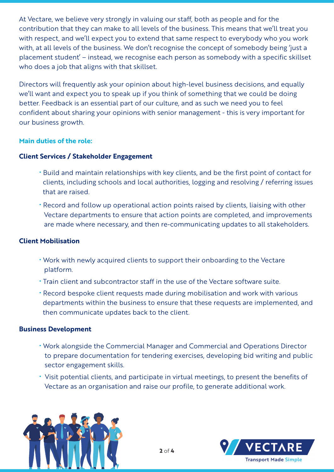At Vectare, we believe very strongly in valuing our staff, both as people and for the contribution that they can make to all levels of the business. This means that we'll treat you with respect, and we'll expect you to extend that same respect to everybody who you work with, at all levels of the business. We don't recognise the concept of somebody being 'just a placement student' – instead, we recognise each person as somebody with a specific skillset who does a job that aligns with that skillset.

Directors will frequently ask your opinion about high-level business decisions, and equally we'll want and expect you to speak up if you think of something that we could be doing better. Feedback is an essential part of our culture, and as such we need you to feel confident about sharing your opinions with senior management - this is very important for our business growth.

# **Main duties of the role:**

### **Client Services / Stakeholder Engagement**

- Build and maintain relationships with key clients, and be the first point of contact for clients, including schools and local authorities, logging and resolving / referring issues that are raised.
- Record and follow up operational action points raised by clients, liaising with other Vectare departments to ensure that action points are completed, and improvements are made where necessary, and then re-communicating updates to all stakeholders.

#### **Client Mobilisation**

- Work with newly acquired clients to support their onboarding to the Vectare platform.
- Train client and subcontractor staff in the use of the Vectare software suite.
- Record bespoke client requests made during mobilisation and work with various departments within the business to ensure that these requests are implemented, and then communicate updates back to the client.

#### **Business Development**

- Work alongside the Commercial Manager and Commercial and Operations Director to prepare documentation for tendering exercises, developing bid writing and public sector engagement skills.
- Visit potential clients, and participate in virtual meetings, to present the benefits of Vectare as an organisation and raise our profile, to generate additional work.



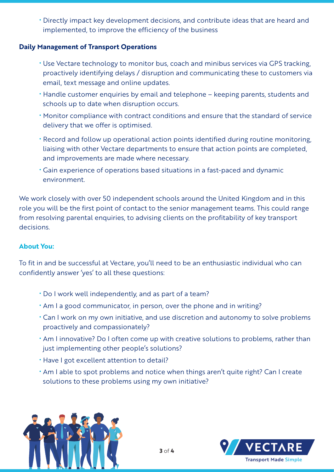• Directly impact key development decisions, and contribute ideas that are heard and implemented, to improve the efficiency of the business

# **Daily Management of Transport Operations**

- Use Vectare technology to monitor bus, coach and minibus services via GPS tracking, proactively identifying delays / disruption and communicating these to customers via email, text message and online updates.
- Handle customer enquiries by email and telephone keeping parents, students and schools up to date when disruption occurs.
- Monitor compliance with contract conditions and ensure that the standard of service delivery that we offer is optimised.
- Record and follow up operational action points identified during routine monitoring, liaising with other Vectare departments to ensure that action points are completed, and improvements are made where necessary.
- Gain experience of operations based situations in a fast-paced and dynamic environment.

We work closely with over 50 independent schools around the United Kingdom and in this role you will be the first point of contact to the senior management teams. This could range from resolving parental enquiries, to advising clients on the profitability of key transport decisions.

# **About You:**

To fit in and be successful at Vectare, you'll need to be an enthusiastic individual who can confidently answer 'yes' to all these questions:

- Do I work well independently, and as part of a team?
- Am I a good communicator, in person, over the phone and in writing?
- Can I work on my own initiative, and use discretion and autonomy to solve problems proactively and compassionately?
- Am I innovative? Do I often come up with creative solutions to problems, rather than just implementing other people's solutions?
- Have I got excellent attention to detail?
- Am I able to spot problems and notice when things aren't quite right? Can I create solutions to these problems using my own initiative?